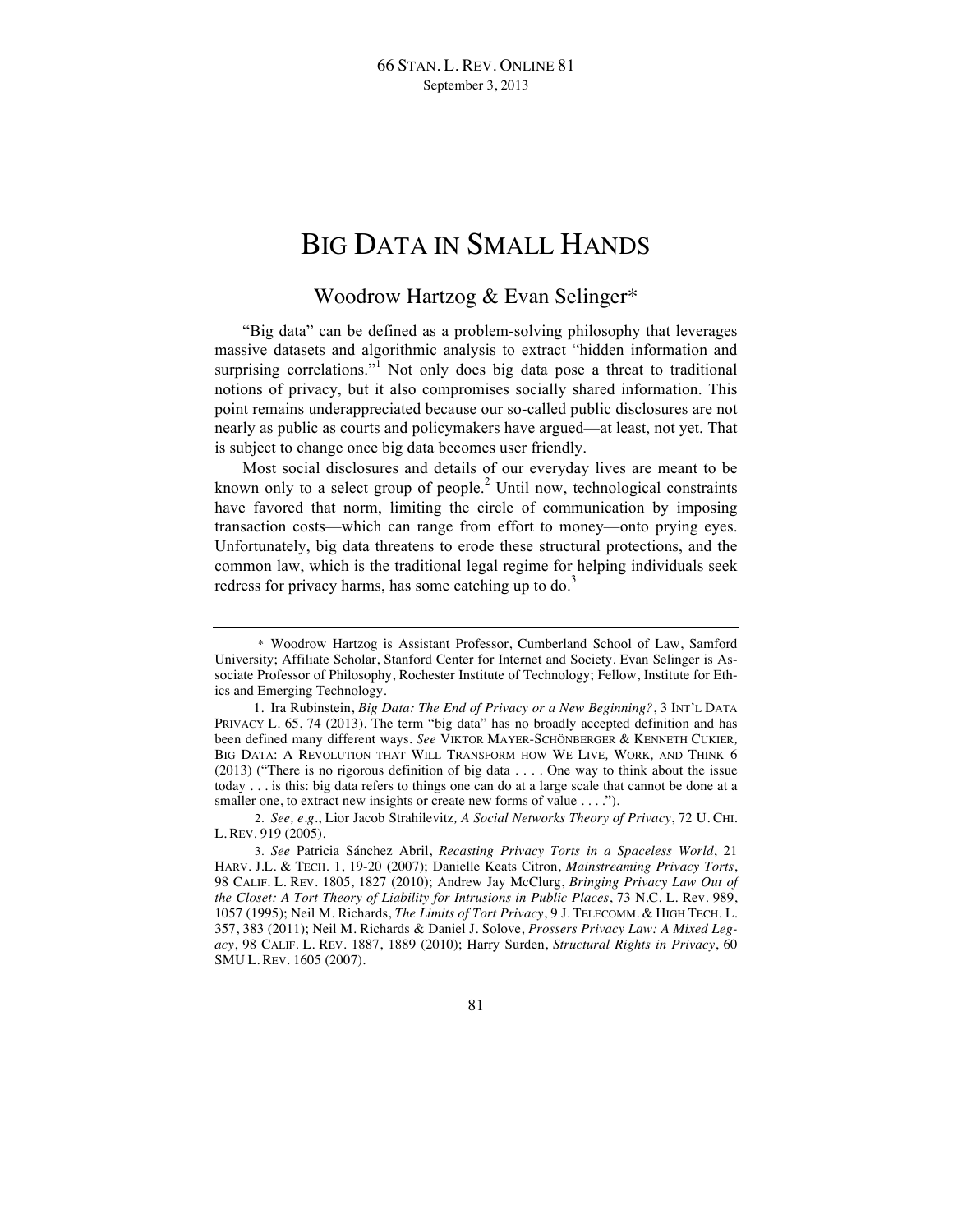# BIG DATA IN SMALL HANDS

# Woodrow Hartzog & Evan Selinger\*

"Big data" can be defined as a problem-solving philosophy that leverages massive datasets and algorithmic analysis to extract "hidden information and surprising correlations."<sup>1</sup> Not only does big data pose a threat to traditional notions of privacy, but it also compromises socially shared information. This point remains underappreciated because our so-called public disclosures are not nearly as public as courts and policymakers have argued—at least, not yet. That is subject to change once big data becomes user friendly.

Most social disclosures and details of our everyday lives are meant to be known only to a select group of people. $<sup>2</sup>$  Until now, technological constraints</sup> have favored that norm, limiting the circle of communication by imposing transaction costs—which can range from effort to money—onto prying eyes. Unfortunately, big data threatens to erode these structural protections, and the common law, which is the traditional legal regime for helping individuals seek redress for privacy harms, has some catching up to  $\phi$ .<sup>3</sup>

<sup>\*</sup> Woodrow Hartzog is Assistant Professor, Cumberland School of Law, Samford University; Affiliate Scholar, Stanford Center for Internet and Society. Evan Selinger is Associate Professor of Philosophy, Rochester Institute of Technology; Fellow, Institute for Ethics and Emerging Technology.

<sup>1.</sup> Ira Rubinstein, *Big Data: The End of Privacy or a New Beginning?*, 3 INT'L DATA PRIVACY L. 65, 74 (2013). The term "big data" has no broadly accepted definition and has been defined many different ways. *See* VIKTOR MAYER-SCHÖNBERGER & KENNETH CUKIER*,* BIG DATA: A REVOLUTION THAT WILL TRANSFORM HOW WE LIVE*,* WORK*,* AND THINK 6 (2013) ("There is no rigorous definition of big data . . . . One way to think about the issue today . . . is this: big data refers to things one can do at a large scale that cannot be done at a smaller one, to extract new insights or create new forms of value . . . .").

<sup>2.</sup> *See, e.g.*, Lior Jacob Strahilevitz*, A Social Networks Theory of Privacy*, 72 U. CHI. L. REV. 919 (2005).

<sup>3.</sup> *See* Patricia Sánchez Abril, *Recasting Privacy Torts in a Spaceless World*, 21 HARV. J.L. & TECH. 1, 19-20 (2007); Danielle Keats Citron, *Mainstreaming Privacy Torts*, 98 CALIF. L. REV. 1805, 1827 (2010); Andrew Jay McClurg, *Bringing Privacy Law Out of the Closet: A Tort Theory of Liability for Intrusions in Public Places*, 73 N.C. L. Rev. 989, 1057 (1995); Neil M. Richards, *The Limits of Tort Privacy*, 9 J. TELECOMM. & HIGH TECH. L. 357, 383 (2011); Neil M. Richards & Daniel J. Solove, *Prossers Privacy Law: A Mixed Legacy*, 98 CALIF. L. REV. 1887, 1889 (2010); Harry Surden, *Structural Rights in Privacy*, 60 SMU L. REV. 1605 (2007).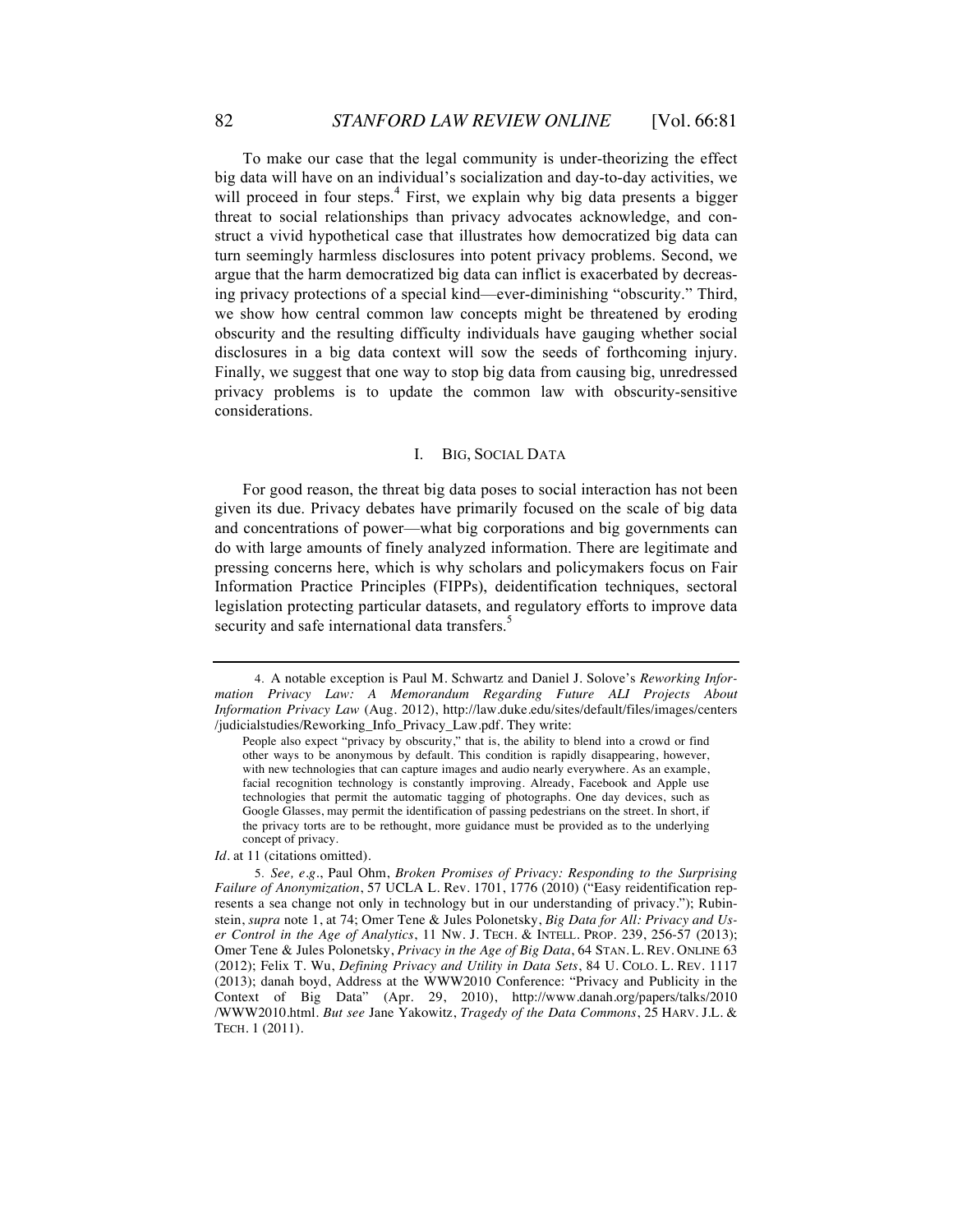To make our case that the legal community is under-theorizing the effect big data will have on an individual's socialization and day-to-day activities, we will proceed in four steps.<sup>4</sup> First, we explain why big data presents a bigger threat to social relationships than privacy advocates acknowledge, and construct a vivid hypothetical case that illustrates how democratized big data can turn seemingly harmless disclosures into potent privacy problems. Second, we argue that the harm democratized big data can inflict is exacerbated by decreasing privacy protections of a special kind—ever-diminishing "obscurity." Third, we show how central common law concepts might be threatened by eroding obscurity and the resulting difficulty individuals have gauging whether social disclosures in a big data context will sow the seeds of forthcoming injury. Finally, we suggest that one way to stop big data from causing big, unredressed privacy problems is to update the common law with obscurity-sensitive considerations.

### I. BIG, SOCIAL DATA

For good reason, the threat big data poses to social interaction has not been given its due. Privacy debates have primarily focused on the scale of big data and concentrations of power—what big corporations and big governments can do with large amounts of finely analyzed information. There are legitimate and pressing concerns here, which is why scholars and policymakers focus on Fair Information Practice Principles (FIPPs), deidentification techniques, sectoral legislation protecting particular datasets, and regulatory efforts to improve data security and safe international data transfers.<sup>5</sup>

*Id.* at 11 (citations omitted).

<sup>4.</sup> A notable exception is Paul M. Schwartz and Daniel J. Solove's *Reworking Information Privacy Law: A Memorandum Regarding Future ALI Projects About Information Privacy Law* (Aug. 2012), http://law.duke.edu/sites/default/files/images/centers /judicialstudies/Reworking\_Info\_Privacy\_Law.pdf. They write:

People also expect "privacy by obscurity," that is, the ability to blend into a crowd or find other ways to be anonymous by default. This condition is rapidly disappearing, however, with new technologies that can capture images and audio nearly everywhere. As an example, facial recognition technology is constantly improving. Already, Facebook and Apple use technologies that permit the automatic tagging of photographs. One day devices, such as Google Glasses, may permit the identification of passing pedestrians on the street. In short, if the privacy torts are to be rethought, more guidance must be provided as to the underlying concept of privacy.

<sup>5.</sup> *See, e.g.*, Paul Ohm, *Broken Promises of Privacy: Responding to the Surprising Failure of Anonymization*, 57 UCLA L. Rev. 1701, 1776 (2010) ("Easy reidentification represents a sea change not only in technology but in our understanding of privacy."); Rubinstein, *supra* note 1, at 74; Omer Tene & Jules Polonetsky, *Big Data for All: Privacy and User Control in the Age of Analytics*, 11 NW. J. TECH. & INTELL. PROP. 239, 256-57 (2013); Omer Tene & Jules Polonetsky, *Privacy in the Age of Big Data*, 64 STAN. L. REV. ONLINE 63 (2012); Felix T. Wu, *Defining Privacy and Utility in Data Sets*, 84 U. COLO. L. REV. 1117 (2013); danah boyd, Address at the WWW2010 Conference: "Privacy and Publicity in the Context of Big Data" (Apr. 29, 2010), http://www.danah.org/papers/talks/2010 /WWW2010.html. *But see* Jane Yakowitz, *Tragedy of the Data Commons*, 25 HARV. J.L. & TECH. 1 (2011).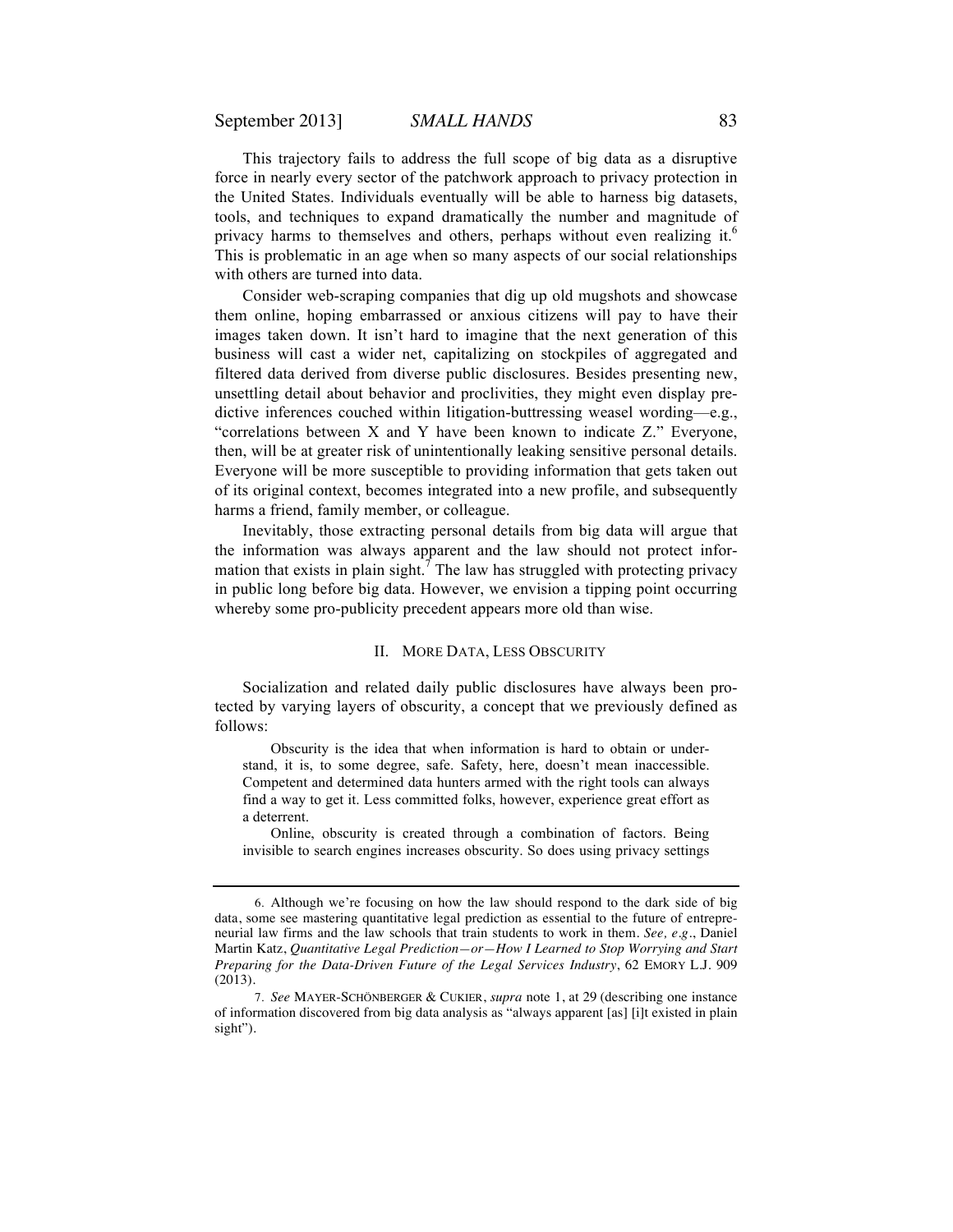This trajectory fails to address the full scope of big data as a disruptive force in nearly every sector of the patchwork approach to privacy protection in the United States. Individuals eventually will be able to harness big datasets, tools, and techniques to expand dramatically the number and magnitude of privacy harms to themselves and others, perhaps without even realizing it.<sup>6</sup> This is problematic in an age when so many aspects of our social relationships with others are turned into data.

Consider web-scraping companies that dig up old mugshots and showcase them online, hoping embarrassed or anxious citizens will pay to have their images taken down. It isn't hard to imagine that the next generation of this business will cast a wider net, capitalizing on stockpiles of aggregated and filtered data derived from diverse public disclosures. Besides presenting new, unsettling detail about behavior and proclivities, they might even display predictive inferences couched within litigation-buttressing weasel wording—e.g., "correlations between X and Y have been known to indicate Z." Everyone, then, will be at greater risk of unintentionally leaking sensitive personal details. Everyone will be more susceptible to providing information that gets taken out of its original context, becomes integrated into a new profile, and subsequently harms a friend, family member, or colleague.

Inevitably, those extracting personal details from big data will argue that the information was always apparent and the law should not protect information that exists in plain sight.<sup>7</sup> The law has struggled with protecting privacy in public long before big data. However, we envision a tipping point occurring whereby some pro-publicity precedent appears more old than wise.

#### II. MORE DATA, LESS OBSCURITY

Socialization and related daily public disclosures have always been protected by varying layers of obscurity, a concept that we previously defined as follows:

Obscurity is the idea that when information is hard to obtain or understand, it is, to some degree, safe. Safety, here, doesn't mean inaccessible. Competent and determined data hunters armed with the right tools can always find a way to get it. Less committed folks, however, experience great effort as a deterrent.

Online, obscurity is created through a combination of factors. Being invisible to search engines increases obscurity. So does using privacy settings

<sup>6.</sup> Although we're focusing on how the law should respond to the dark side of big data, some see mastering quantitative legal prediction as essential to the future of entrepreneurial law firms and the law schools that train students to work in them. *See, e.g.*, Daniel Martin Katz, *Quantitative Legal Prediction—or—How I Learned to Stop Worrying and Start Preparing for the Data-Driven Future of the Legal Services Industry*, 62 EMORY L.J. 909 (2013).

<sup>7.</sup> *See* MAYER-SCHÖNBERGER & CUKIER, *supra* note 1, at 29 (describing one instance of information discovered from big data analysis as "always apparent [as] [i]t existed in plain sight").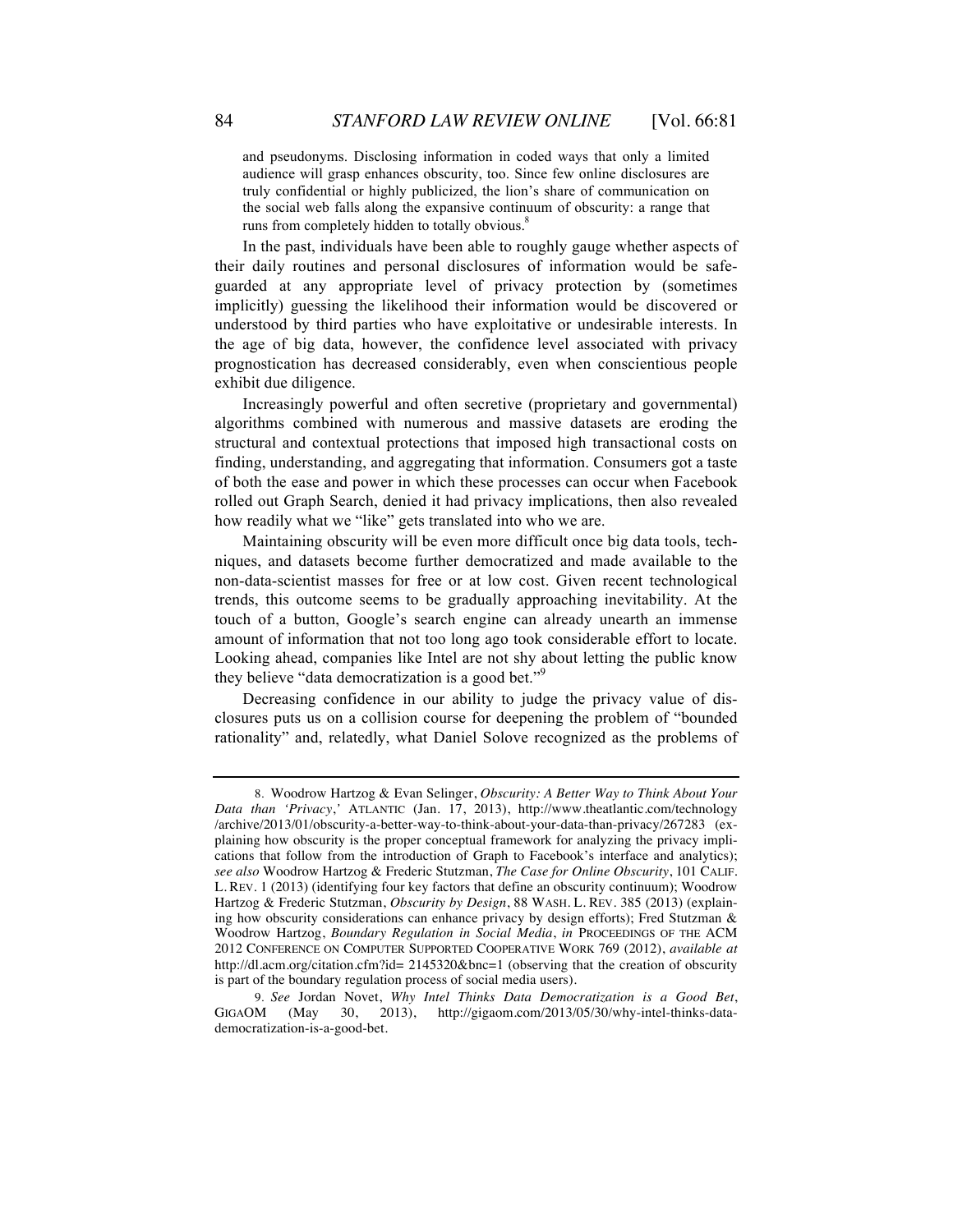and pseudonyms. Disclosing information in coded ways that only a limited audience will grasp enhances obscurity, too. Since few online disclosures are truly confidential or highly publicized, the lion's share of communication on the social web falls along the expansive continuum of obscurity: a range that runs from completely hidden to totally obvious.<sup>8</sup>

In the past, individuals have been able to roughly gauge whether aspects of their daily routines and personal disclosures of information would be safeguarded at any appropriate level of privacy protection by (sometimes implicitly) guessing the likelihood their information would be discovered or understood by third parties who have exploitative or undesirable interests. In the age of big data, however, the confidence level associated with privacy prognostication has decreased considerably, even when conscientious people exhibit due diligence.

Increasingly powerful and often secretive (proprietary and governmental) algorithms combined with numerous and massive datasets are eroding the structural and contextual protections that imposed high transactional costs on finding, understanding, and aggregating that information. Consumers got a taste of both the ease and power in which these processes can occur when Facebook rolled out Graph Search, denied it had privacy implications, then also revealed how readily what we "like" gets translated into who we are.

Maintaining obscurity will be even more difficult once big data tools, techniques, and datasets become further democratized and made available to the non-data-scientist masses for free or at low cost. Given recent technological trends, this outcome seems to be gradually approaching inevitability. At the touch of a button, Google's search engine can already unearth an immense amount of information that not too long ago took considerable effort to locate. Looking ahead, companies like Intel are not shy about letting the public know they believe "data democratization is a good bet."<sup>9</sup>

Decreasing confidence in our ability to judge the privacy value of disclosures puts us on a collision course for deepening the problem of "bounded rationality" and, relatedly, what Daniel Solove recognized as the problems of

<sup>8.</sup> Woodrow Hartzog & Evan Selinger, *Obscurity: A Better Way to Think About Your Data than 'Privacy*,*'* ATLANTIC (Jan. 17, 2013), http://www.theatlantic.com/technology /archive/2013/01/obscurity-a-better-way-to-think-about-your-data-than-privacy/267283 (explaining how obscurity is the proper conceptual framework for analyzing the privacy implications that follow from the introduction of Graph to Facebook's interface and analytics); *see also* Woodrow Hartzog & Frederic Stutzman, *The Case for Online Obscurity*, 101 CALIF. L. REV. 1 (2013) (identifying four key factors that define an obscurity continuum); Woodrow Hartzog & Frederic Stutzman, *Obscurity by Design*, 88 WASH. L. REV. 385 (2013) (explaining how obscurity considerations can enhance privacy by design efforts); Fred Stutzman & Woodrow Hartzog, *Boundary Regulation in Social Media*, *in* PROCEEDINGS OF THE ACM 2012 CONFERENCE ON COMPUTER SUPPORTED COOPERATIVE WORK 769 (2012), *available at*  http://dl.acm.org/citation.cfm?id= 2145320&bnc=1 (observing that the creation of obscurity is part of the boundary regulation process of social media users).

<sup>9.</sup> *See* Jordan Novet, *Why Intel Thinks Data Democratization is a Good Bet*,  $(May \t 30, \t 2013), \t http://gigaom.com/2013/05/30/why-intel-thinks-data$ democratization-is-a-good-bet.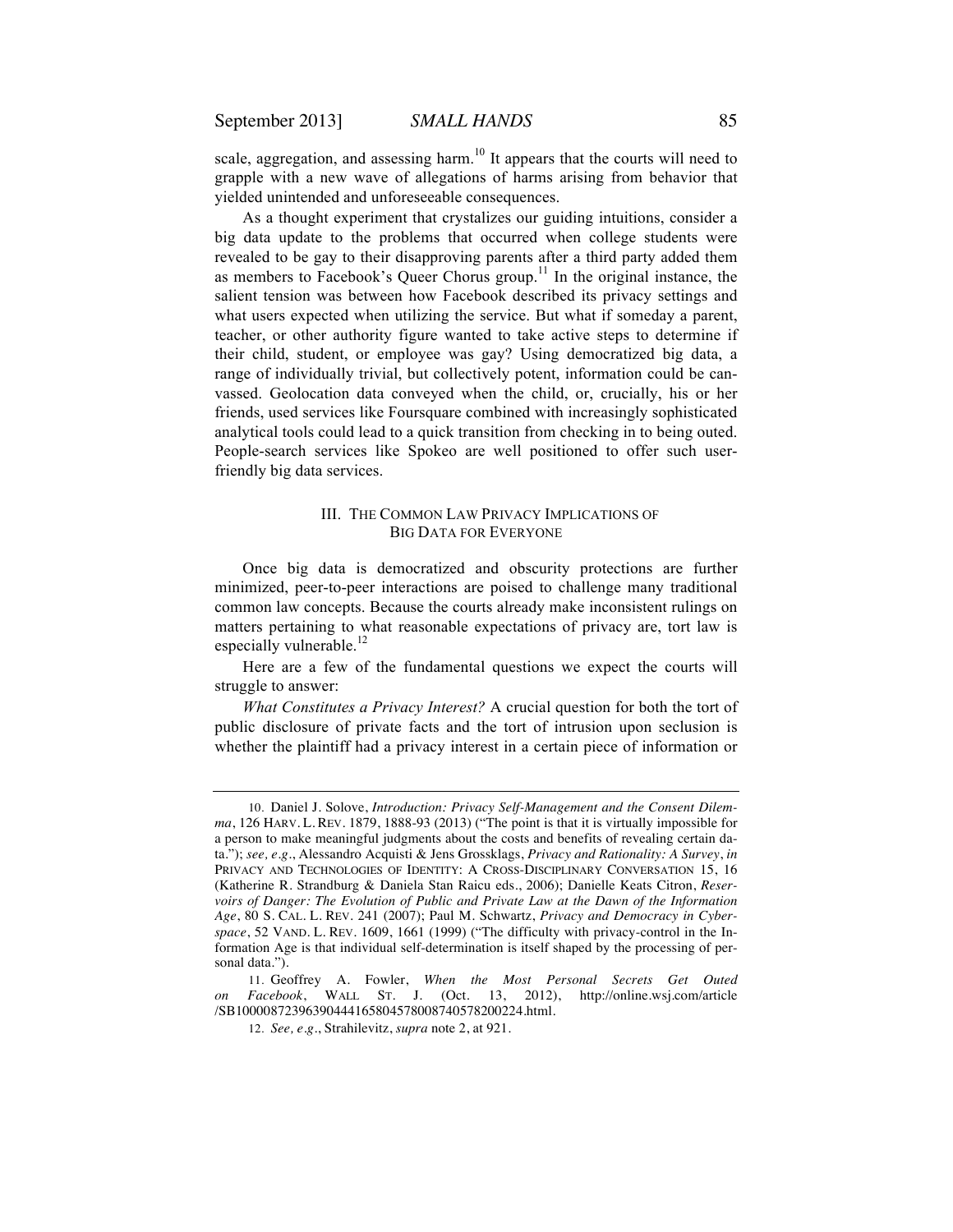scale, aggregation, and assessing harm.<sup>10</sup> It appears that the courts will need to grapple with a new wave of allegations of harms arising from behavior that yielded unintended and unforeseeable consequences.

As a thought experiment that crystalizes our guiding intuitions, consider a big data update to the problems that occurred when college students were revealed to be gay to their disapproving parents after a third party added them as members to Facebook's Queer Chorus group.<sup>11</sup> In the original instance, the salient tension was between how Facebook described its privacy settings and what users expected when utilizing the service. But what if someday a parent, teacher, or other authority figure wanted to take active steps to determine if their child, student, or employee was gay? Using democratized big data, a range of individually trivial, but collectively potent, information could be canvassed. Geolocation data conveyed when the child, or, crucially, his or her friends, used services like Foursquare combined with increasingly sophisticated analytical tools could lead to a quick transition from checking in to being outed. People-search services like Spokeo are well positioned to offer such userfriendly big data services.

## III. THE COMMON LAW PRIVACY IMPLICATIONS OF BIG DATA FOR EVERYONE

Once big data is democratized and obscurity protections are further minimized, peer-to-peer interactions are poised to challenge many traditional common law concepts. Because the courts already make inconsistent rulings on matters pertaining to what reasonable expectations of privacy are, tort law is especially vulnerable.<sup>12</sup>

Here are a few of the fundamental questions we expect the courts will struggle to answer:

*What Constitutes a Privacy Interest?* A crucial question for both the tort of public disclosure of private facts and the tort of intrusion upon seclusion is whether the plaintiff had a privacy interest in a certain piece of information or

<sup>10.</sup> Daniel J. Solove, *Introduction: Privacy Self-Management and the Consent Dilemma*, 126 HARV. L. REV. 1879, 1888-93 (2013) ("The point is that it is virtually impossible for a person to make meaningful judgments about the costs and benefits of revealing certain data."); *see, e.g.*, Alessandro Acquisti & Jens Grossklags, *Privacy and Rationality: A Survey*, *in*  PRIVACY AND TECHNOLOGIES OF IDENTITY: A CROSS-DISCIPLINARY CONVERSATION 15, 16 (Katherine R. Strandburg & Daniela Stan Raicu eds., 2006); Danielle Keats Citron, *Reservoirs of Danger: The Evolution of Public and Private Law at the Dawn of the Information Age*, 80 S. CAL. L. REV. 241 (2007); Paul M. Schwartz, *Privacy and Democracy in Cyberspace*, 52 VAND. L. REV. 1609, 1661 (1999) ("The difficulty with privacy-control in the Information Age is that individual self-determination is itself shaped by the processing of personal data.").

<sup>11.</sup> Geoffrey A. Fowler, *When the Most Personal Secrets Get Outed on Facebook*, WALL ST. J. (Oct. 13, 2012), http://online.wsj.com/article /SB10000872396390444165804578008740578200224.html.

<sup>12.</sup> *See, e.g.*, Strahilevitz, *supra* note 2, at 921.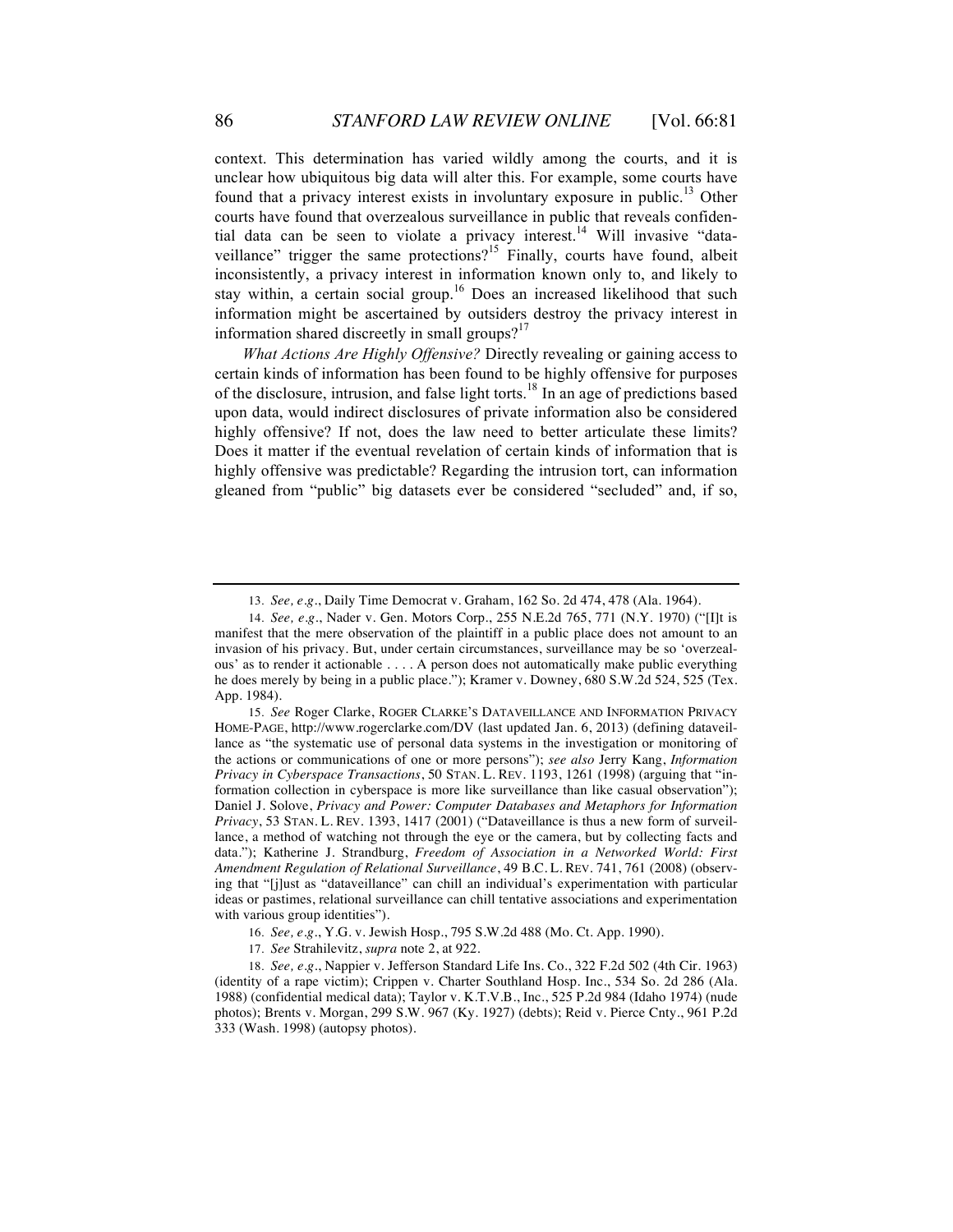context. This determination has varied wildly among the courts, and it is unclear how ubiquitous big data will alter this. For example, some courts have found that a privacy interest exists in involuntary exposure in public.<sup>13</sup> Other courts have found that overzealous surveillance in public that reveals confidential data can be seen to violate a privacy interest.<sup>14</sup> Will invasive "dataveillance" trigger the same protections?<sup>15</sup> Finally, courts have found, albeit inconsistently, a privacy interest in information known only to, and likely to stay within, a certain social group.<sup>16</sup> Does an increased likelihood that such information might be ascertained by outsiders destroy the privacy interest in information shared discreetly in small groups? $17$ 

*What Actions Are Highly Offensive?* Directly revealing or gaining access to certain kinds of information has been found to be highly offensive for purposes of the disclosure, intrusion, and false light torts.<sup>18</sup> In an age of predictions based upon data, would indirect disclosures of private information also be considered highly offensive? If not, does the law need to better articulate these limits? Does it matter if the eventual revelation of certain kinds of information that is highly offensive was predictable? Regarding the intrusion tort, can information gleaned from "public" big datasets ever be considered "secluded" and, if so,

<sup>13.</sup> *See, e.g.*, Daily Time Democrat v. Graham, 162 So. 2d 474, 478 (Ala. 1964).

<sup>14.</sup> *See, e.g.*, Nader v. Gen. Motors Corp., 255 N.E.2d 765, 771 (N.Y. 1970) ("[I]t is manifest that the mere observation of the plaintiff in a public place does not amount to an invasion of his privacy. But, under certain circumstances, surveillance may be so 'overzealous' as to render it actionable . . . . A person does not automatically make public everything he does merely by being in a public place."); Kramer v. Downey, 680 S.W.2d 524, 525 (Tex. App. 1984).

<sup>15.</sup> *See* Roger Clarke, ROGER CLARKE'S DATAVEILLANCE AND INFORMATION PRIVACY HOME-PAGE, http://www.rogerclarke.com/DV (last updated Jan. 6, 2013) (defining dataveillance as "the systematic use of personal data systems in the investigation or monitoring of the actions or communications of one or more persons"); *see also* Jerry Kang, *Information Privacy in Cyberspace Transactions*, 50 STAN. L. REV. 1193, 1261 (1998) (arguing that "information collection in cyberspace is more like surveillance than like casual observation"); Daniel J. Solove, *Privacy and Power: Computer Databases and Metaphors for Information Privacy*, 53 STAN. L. REV. 1393, 1417 (2001) ("Dataveillance is thus a new form of surveillance, a method of watching not through the eye or the camera, but by collecting facts and data."); Katherine J. Strandburg, *Freedom of Association in a Networked World: First Amendment Regulation of Relational Surveillance*, 49 B.C. L. REV. 741, 761 (2008) (observing that "[j]ust as "dataveillance" can chill an individual's experimentation with particular ideas or pastimes, relational surveillance can chill tentative associations and experimentation with various group identities").

<sup>16.</sup> *See, e.g.*, Y.G. v. Jewish Hosp., 795 S.W.2d 488 (Mo. Ct. App. 1990).

<sup>17.</sup> *See* Strahilevitz, *supra* note 2, at 922.

<sup>18.</sup> *See, e.g.*, Nappier v. Jefferson Standard Life Ins. Co., 322 F.2d 502 (4th Cir. 1963) (identity of a rape victim); Crippen v. Charter Southland Hosp. Inc., 534 So. 2d 286 (Ala. 1988) (confidential medical data); Taylor v. K.T.V.B., Inc., 525 P.2d 984 (Idaho 1974) (nude photos); Brents v. Morgan, 299 S.W. 967 (Ky. 1927) (debts); Reid v. Pierce Cnty., 961 P.2d 333 (Wash. 1998) (autopsy photos).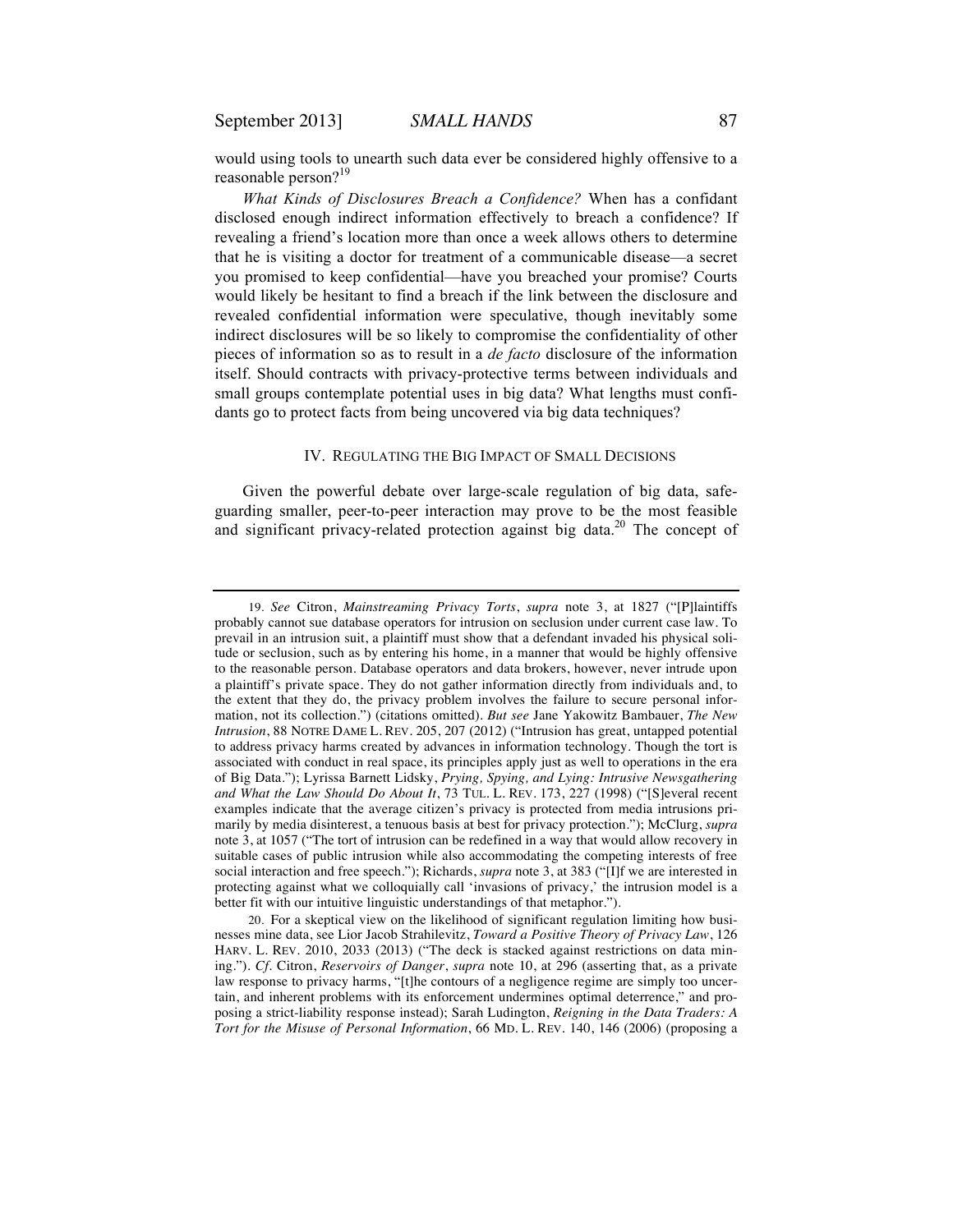would using tools to unearth such data ever be considered highly offensive to a reasonable person?<sup>19</sup>

*What Kinds of Disclosures Breach a Confidence?* When has a confidant disclosed enough indirect information effectively to breach a confidence? If revealing a friend's location more than once a week allows others to determine that he is visiting a doctor for treatment of a communicable disease—a secret you promised to keep confidential—have you breached your promise? Courts would likely be hesitant to find a breach if the link between the disclosure and revealed confidential information were speculative, though inevitably some indirect disclosures will be so likely to compromise the confidentiality of other pieces of information so as to result in a *de facto* disclosure of the information itself. Should contracts with privacy-protective terms between individuals and small groups contemplate potential uses in big data? What lengths must confidants go to protect facts from being uncovered via big data techniques?

#### IV. REGULATING THE BIG IMPACT OF SMALL DECISIONS

Given the powerful debate over large-scale regulation of big data, safeguarding smaller, peer-to-peer interaction may prove to be the most feasible and significant privacy-related protection against big data.<sup>20</sup> The concept of

<sup>19.</sup> *See* Citron, *Mainstreaming Privacy Torts*, *supra* note 3, at 1827 ("[P]laintiffs probably cannot sue database operators for intrusion on seclusion under current case law. To prevail in an intrusion suit, a plaintiff must show that a defendant invaded his physical solitude or seclusion, such as by entering his home, in a manner that would be highly offensive to the reasonable person. Database operators and data brokers, however, never intrude upon a plaintiff's private space. They do not gather information directly from individuals and, to the extent that they do, the privacy problem involves the failure to secure personal information, not its collection.") (citations omitted). *But see* Jane Yakowitz Bambauer, *The New Intrusion*, 88 NOTRE DAME L. REV. 205, 207 (2012) ("Intrusion has great, untapped potential to address privacy harms created by advances in information technology. Though the tort is associated with conduct in real space, its principles apply just as well to operations in the era of Big Data."); Lyrissa Barnett Lidsky, *Prying, Spying, and Lying: Intrusive Newsgathering and What the Law Should Do About It*, 73 TUL. L. REV. 173, 227 (1998) ("[S]everal recent examples indicate that the average citizen's privacy is protected from media intrusions primarily by media disinterest, a tenuous basis at best for privacy protection."); McClurg, *supra*  note 3, at 1057 ("The tort of intrusion can be redefined in a way that would allow recovery in suitable cases of public intrusion while also accommodating the competing interests of free social interaction and free speech."); Richards, *supra* note 3, at 383 ("[I]f we are interested in protecting against what we colloquially call 'invasions of privacy,' the intrusion model is a better fit with our intuitive linguistic understandings of that metaphor.").

<sup>20.</sup> For a skeptical view on the likelihood of significant regulation limiting how businesses mine data, see Lior Jacob Strahilevitz, *Toward a Positive Theory of Privacy Law*, 126 HARV. L. REV. 2010, 2033 (2013) ("The deck is stacked against restrictions on data mining."). *Cf.* Citron, *Reservoirs of Danger*, *supra* note 10, at 296 (asserting that, as a private law response to privacy harms, "[t]he contours of a negligence regime are simply too uncertain, and inherent problems with its enforcement undermines optimal deterrence," and proposing a strict-liability response instead); Sarah Ludington, *Reigning in the Data Traders: A Tort for the Misuse of Personal Information*, 66 MD. L. REV. 140, 146 (2006) (proposing a